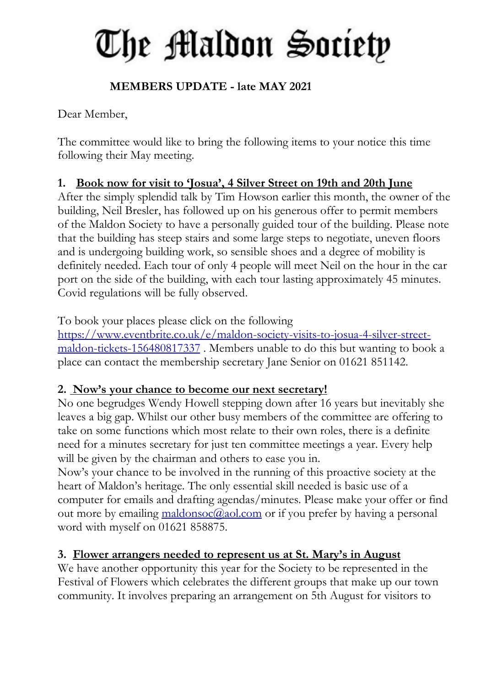# The Maldon Society

# **MEMBERS UPDATE - late MAY 2021**

Dear Member,

The committee would like to bring the following items to your notice this time following their May meeting.

# **1. Book now for visit to 'Josua' , 4 Silver Street on 19th and 20th June**

After the simply splendid talk by Tim Howson earlier this month, the owner of the building, Neil Bresler, has followed up on his generous offer to permit members of the Maldon Society to have a personally guided tour of the building. Please note that the building has steep stairs and some large steps to negotiate, uneven floors and is undergoing building work, so sensible shoes and a degree of mobility is definitely needed. Each tour of only 4 people will meet Neil on the hour in the car port on the side of the building, with each tour lasting approximately 45 minutes. Covid regulations will be fully observed.

To book your places please click on the following https://www.eventbrite.co.uk/e/maldon-society-visits-to-josua-4-silver-streetmaldon-tickets-156480817337 . Members unable to do this but wanting to book a place can contact the membership secretary Jane Senior on 01621 851142.

## **2. Now's your chance to become our next secretary!**

No one begrudges Wendy Howell stepping down after 16 years but inevitably she leaves a big gap. Whilst our other busy members of the committee are offering to take on some functions which most relate to their own roles, there is a definite need for a minutes secretary for just ten committee meetings a year. Every help will be given by the chairman and others to ease you in.

Now's your chance to be involved in the running of this proactive society at the heart of Maldon's heritage. The only essential skill needed is basic use of a computer for emails and drafting agendas/minutes. Please make your offer or find out more by emailing maldonsoc@aol.com or if you prefer by having a personal word with myself on 01621 858875.

# **3. Flower arrangers needed to represent us at St. Mary's in August**

We have another opportunity this year for the Society to be represented in the Festival of Flowers which celebrates the different groups that make up our town community. It involves preparing an arrangement on 5th August for visitors to